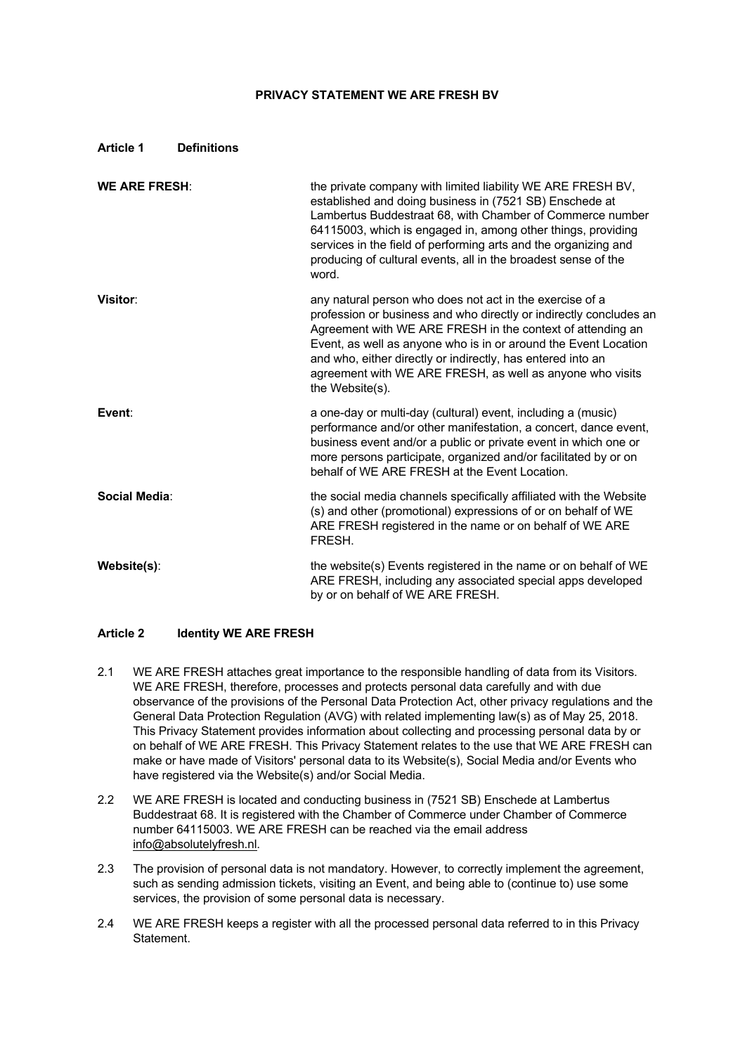### **PRIVACY STATEMENT WE ARE FRESH BV**

### **Article 1 Definitions**

| <b>WE ARE FRESH:</b> | the private company with limited liability WE ARE FRESH BV,<br>established and doing business in (7521 SB) Enschede at<br>Lambertus Buddestraat 68, with Chamber of Commerce number<br>64115003, which is engaged in, among other things, providing<br>services in the field of performing arts and the organizing and<br>producing of cultural events, all in the broadest sense of the<br>word.              |
|----------------------|----------------------------------------------------------------------------------------------------------------------------------------------------------------------------------------------------------------------------------------------------------------------------------------------------------------------------------------------------------------------------------------------------------------|
| Visitor:             | any natural person who does not act in the exercise of a<br>profession or business and who directly or indirectly concludes an<br>Agreement with WE ARE FRESH in the context of attending an<br>Event, as well as anyone who is in or around the Event Location<br>and who, either directly or indirectly, has entered into an<br>agreement with WE ARE FRESH, as well as anyone who visits<br>the Website(s). |
| Event:               | a one-day or multi-day (cultural) event, including a (music)<br>performance and/or other manifestation, a concert, dance event,<br>business event and/or a public or private event in which one or<br>more persons participate, organized and/or facilitated by or on<br>behalf of WE ARE FRESH at the Event Location.                                                                                         |
| Social Media:        | the social media channels specifically affiliated with the Website<br>(s) and other (promotional) expressions of or on behalf of WE<br>ARE FRESH registered in the name or on behalf of WE ARE<br>FRESH.                                                                                                                                                                                                       |
| Website(s):          | the website(s) Events registered in the name or on behalf of WE<br>ARE FRESH, including any associated special apps developed<br>by or on behalf of WE ARE FRESH.                                                                                                                                                                                                                                              |

### **Article 2 Identity WE ARE FRESH**

- 2.1 WE ARE FRESH attaches great importance to the responsible handling of data from its Visitors. WE ARE FRESH, therefore, processes and protects personal data carefully and with due observance of the provisions of the Personal Data Protection Act, other privacy regulations and the General Data Protection Regulation (AVG) with related implementing law(s) as of May 25, 2018. This Privacy Statement provides information about collecting and processing personal data by or on behalf of WE ARE FRESH. This Privacy Statement relates to the use that WE ARE FRESH can make or have made of Visitors' personal data to its Website(s), Social Media and/or Events who have registered via the Website(s) and/or Social Media.
- 2.2 WE ARE FRESH is located and conducting business in (7521 SB) Enschede at Lambertus Buddestraat 68. It is registered with the Chamber of Commerce under Chamber of Commerce number 64115003. WE ARE FRESH can be reached via the email address info@absolutelyfresh.nl.
- 2.3 The provision of personal data is not mandatory. However, to correctly implement the agreement, such as sending admission tickets, visiting an Event, and being able to (continue to) use some services, the provision of some personal data is necessary.
- 2.4 WE ARE FRESH keeps a register with all the processed personal data referred to in this Privacy Statement.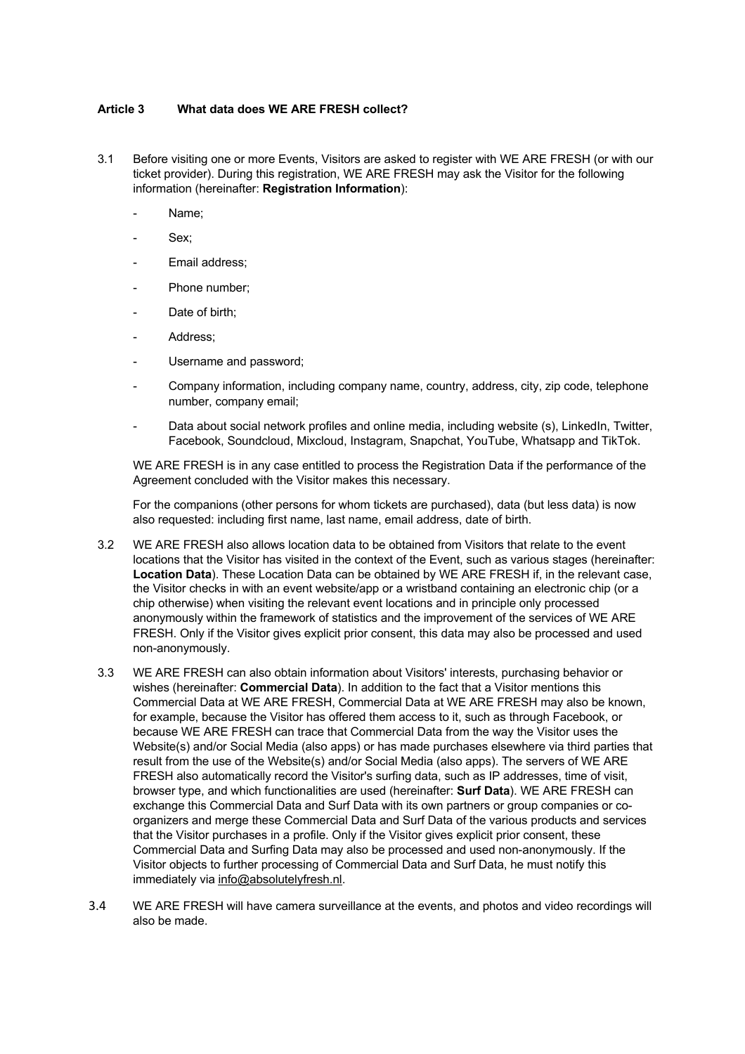### **Article 3 What data does WE ARE FRESH collect?**

- 3.1 Before visiting one or more Events, Visitors are asked to register with WE ARE FRESH (or with our ticket provider). During this registration, WE ARE FRESH may ask the Visitor for the following information (hereinafter: **Registration Information**):
	- Name:
	- Sex;
	- Email address;
	- Phone number;
	- Date of birth;
	- Address:
	- Username and password;
	- Company information, including company name, country, address, city, zip code, telephone number, company email;
	- Data about social network profiles and online media, including website (s), LinkedIn, Twitter, Facebook, Soundcloud, Mixcloud, Instagram, Snapchat, YouTube, Whatsapp and TikTok.

WE ARE FRESH is in any case entitled to process the Registration Data if the performance of the Agreement concluded with the Visitor makes this necessary.

For the companions (other persons for whom tickets are purchased), data (but less data) is now also requested: including first name, last name, email address, date of birth.

- 3.2 WE ARE FRESH also allows location data to be obtained from Visitors that relate to the event locations that the Visitor has visited in the context of the Event, such as various stages (hereinafter: **Location Data**). These Location Data can be obtained by WE ARE FRESH if, in the relevant case, the Visitor checks in with an event website/app or a wristband containing an electronic chip (or a chip otherwise) when visiting the relevant event locations and in principle only processed anonymously within the framework of statistics and the improvement of the services of WE ARE FRESH. Only if the Visitor gives explicit prior consent, this data may also be processed and used non-anonymously.
- 3.3 WE ARE FRESH can also obtain information about Visitors' interests, purchasing behavior or wishes (hereinafter: **Commercial Data**). In addition to the fact that a Visitor mentions this Commercial Data at WE ARE FRESH, Commercial Data at WE ARE FRESH may also be known, for example, because the Visitor has offered them access to it, such as through Facebook, or because WE ARE FRESH can trace that Commercial Data from the way the Visitor uses the Website(s) and/or Social Media (also apps) or has made purchases elsewhere via third parties that result from the use of the Website(s) and/or Social Media (also apps). The servers of WE ARE FRESH also automatically record the Visitor's surfing data, such as IP addresses, time of visit, browser type, and which functionalities are used (hereinafter: **Surf Data**). WE ARE FRESH can exchange this Commercial Data and Surf Data with its own partners or group companies or coorganizers and merge these Commercial Data and Surf Data of the various products and services that the Visitor purchases in a profile. Only if the Visitor gives explicit prior consent, these Commercial Data and Surfing Data may also be processed and used non-anonymously. If the Visitor objects to further processing of Commercial Data and Surf Data, he must notify this immediately via info@absolutelyfresh.nl.
- 3.4 WE ARE FRESH will have camera surveillance at the events, and photos and video recordings will also be made.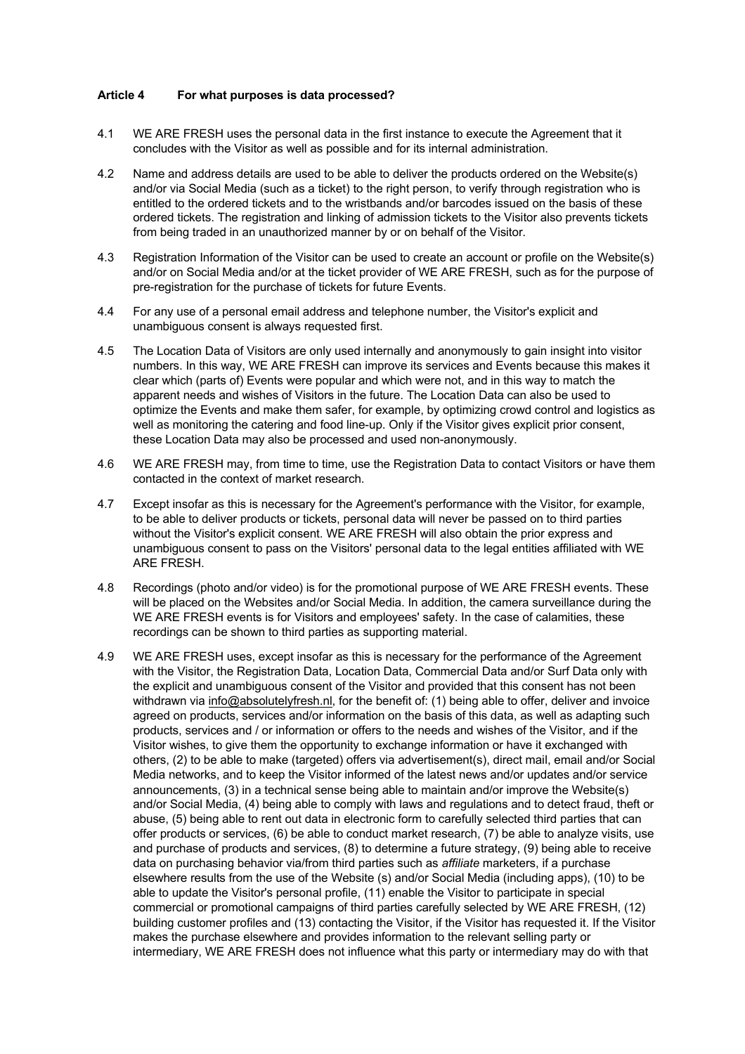#### **Article 4 For what purposes is data processed?**

- 4.1 WE ARE FRESH uses the personal data in the first instance to execute the Agreement that it concludes with the Visitor as well as possible and for its internal administration.
- 4.2 Name and address details are used to be able to deliver the products ordered on the Website(s) and/or via Social Media (such as a ticket) to the right person, to verify through registration who is entitled to the ordered tickets and to the wristbands and/or barcodes issued on the basis of these ordered tickets. The registration and linking of admission tickets to the Visitor also prevents tickets from being traded in an unauthorized manner by or on behalf of the Visitor.
- 4.3 Registration Information of the Visitor can be used to create an account or profile on the Website(s) and/or on Social Media and/or at the ticket provider of WE ARE FRESH, such as for the purpose of pre-registration for the purchase of tickets for future Events.
- 4.4 For any use of a personal email address and telephone number, the Visitor's explicit and unambiguous consent is always requested first.
- 4.5 The Location Data of Visitors are only used internally and anonymously to gain insight into visitor numbers. In this way, WE ARE FRESH can improve its services and Events because this makes it clear which (parts of) Events were popular and which were not, and in this way to match the apparent needs and wishes of Visitors in the future. The Location Data can also be used to optimize the Events and make them safer, for example, by optimizing crowd control and logistics as well as monitoring the catering and food line-up. Only if the Visitor gives explicit prior consent, these Location Data may also be processed and used non-anonymously.
- 4.6 WE ARE FRESH may, from time to time, use the Registration Data to contact Visitors or have them contacted in the context of market research.
- 4.7 Except insofar as this is necessary for the Agreement's performance with the Visitor, for example, to be able to deliver products or tickets, personal data will never be passed on to third parties without the Visitor's explicit consent. WE ARE FRESH will also obtain the prior express and unambiguous consent to pass on the Visitors' personal data to the legal entities affiliated with WE ARE FRESH.
- 4.8 Recordings (photo and/or video) is for the promotional purpose of WE ARE FRESH events. These will be placed on the Websites and/or Social Media. In addition, the camera surveillance during the WE ARE FRESH events is for Visitors and employees' safety. In the case of calamities, these recordings can be shown to third parties as supporting material.
- 4.9 WE ARE FRESH uses, except insofar as this is necessary for the performance of the Agreement with the Visitor, the Registration Data, Location Data, Commercial Data and/or Surf Data only with the explicit and unambiguous consent of the Visitor and provided that this consent has not been withdrawn via info@absolutelyfresh.nl, for the benefit of: (1) being able to offer, deliver and invoice agreed on products, services and/or information on the basis of this data, as well as adapting such products, services and / or information or offers to the needs and wishes of the Visitor, and if the Visitor wishes, to give them the opportunity to exchange information or have it exchanged with others, (2) to be able to make (targeted) offers via advertisement(s), direct mail, email and/or Social Media networks, and to keep the Visitor informed of the latest news and/or updates and/or service announcements, (3) in a technical sense being able to maintain and/or improve the Website(s) and/or Social Media, (4) being able to comply with laws and regulations and to detect fraud, theft or abuse, (5) being able to rent out data in electronic form to carefully selected third parties that can offer products or services, (6) be able to conduct market research, (7) be able to analyze visits, use and purchase of products and services, (8) to determine a future strategy, (9) being able to receive data on purchasing behavior via/from third parties such as *affiliate* marketers, if a purchase elsewhere results from the use of the Website (s) and/or Social Media (including apps), (10) to be able to update the Visitor's personal profile, (11) enable the Visitor to participate in special commercial or promotional campaigns of third parties carefully selected by WE ARE FRESH, (12) building customer profiles and (13) contacting the Visitor, if the Visitor has requested it. If the Visitor makes the purchase elsewhere and provides information to the relevant selling party or intermediary, WE ARE FRESH does not influence what this party or intermediary may do with that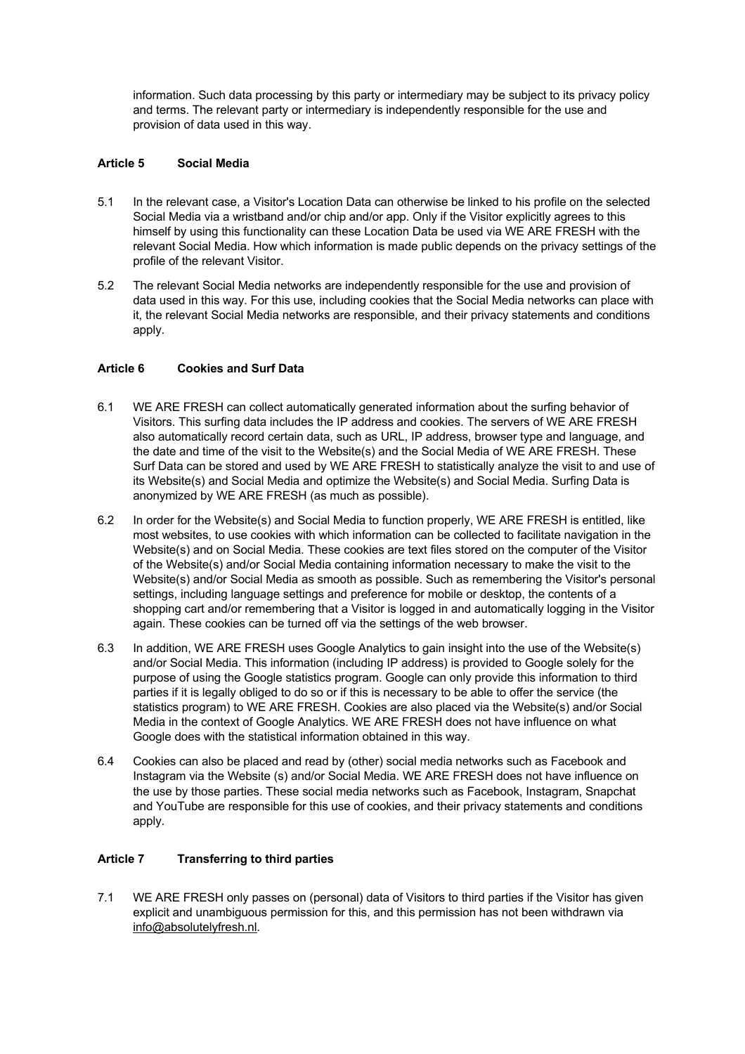information. Such data processing by this party or intermediary may be subject to its privacy policy and terms. The relevant party or intermediary is independently responsible for the use and provision of data used in this way.

# **Article 5 Social Media**

- 5.1 In the relevant case, a Visitor's Location Data can otherwise be linked to his profile on the selected Social Media via a wristband and/or chip and/or app. Only if the Visitor explicitly agrees to this himself by using this functionality can these Location Data be used via WE ARE FRESH with the relevant Social Media. How which information is made public depends on the privacy settings of the profile of the relevant Visitor.
- 5.2 The relevant Social Media networks are independently responsible for the use and provision of data used in this way. For this use, including cookies that the Social Media networks can place with it, the relevant Social Media networks are responsible, and their privacy statements and conditions apply.

### **Article 6 Cookies and Surf Data**

- 6.1 WE ARE FRESH can collect automatically generated information about the surfing behavior of Visitors. This surfing data includes the IP address and cookies. The servers of WE ARE FRESH also automatically record certain data, such as URL, IP address, browser type and language, and the date and time of the visit to the Website(s) and the Social Media of WE ARE FRESH. These Surf Data can be stored and used by WE ARE FRESH to statistically analyze the visit to and use of its Website(s) and Social Media and optimize the Website(s) and Social Media. Surfing Data is anonymized by WE ARE FRESH (as much as possible).
- 6.2 In order for the Website(s) and Social Media to function properly, WE ARE FRESH is entitled, like most websites, to use cookies with which information can be collected to facilitate navigation in the Website(s) and on Social Media. These cookies are text files stored on the computer of the Visitor of the Website(s) and/or Social Media containing information necessary to make the visit to the Website(s) and/or Social Media as smooth as possible. Such as remembering the Visitor's personal settings, including language settings and preference for mobile or desktop, the contents of a shopping cart and/or remembering that a Visitor is logged in and automatically logging in the Visitor again. These cookies can be turned off via the settings of the web browser.
- 6.3 In addition, WE ARE FRESH uses Google Analytics to gain insight into the use of the Website(s) and/or Social Media. This information (including IP address) is provided to Google solely for the purpose of using the Google statistics program. Google can only provide this information to third parties if it is legally obliged to do so or if this is necessary to be able to offer the service (the statistics program) to WE ARE FRESH. Cookies are also placed via the Website(s) and/or Social Media in the context of Google Analytics. WE ARE FRESH does not have influence on what Google does with the statistical information obtained in this way.
- 6.4 Cookies can also be placed and read by (other) social media networks such as Facebook and Instagram via the Website (s) and/or Social Media. WE ARE FRESH does not have influence on the use by those parties. These social media networks such as Facebook, Instagram, Snapchat and YouTube are responsible for this use of cookies, and their privacy statements and conditions apply.

### **Article 7 Transferring to third parties**

7.1 WE ARE FRESH only passes on (personal) data of Visitors to third parties if the Visitor has given explicit and unambiguous permission for this, and this permission has not been withdrawn via info@absolutelyfresh.nl.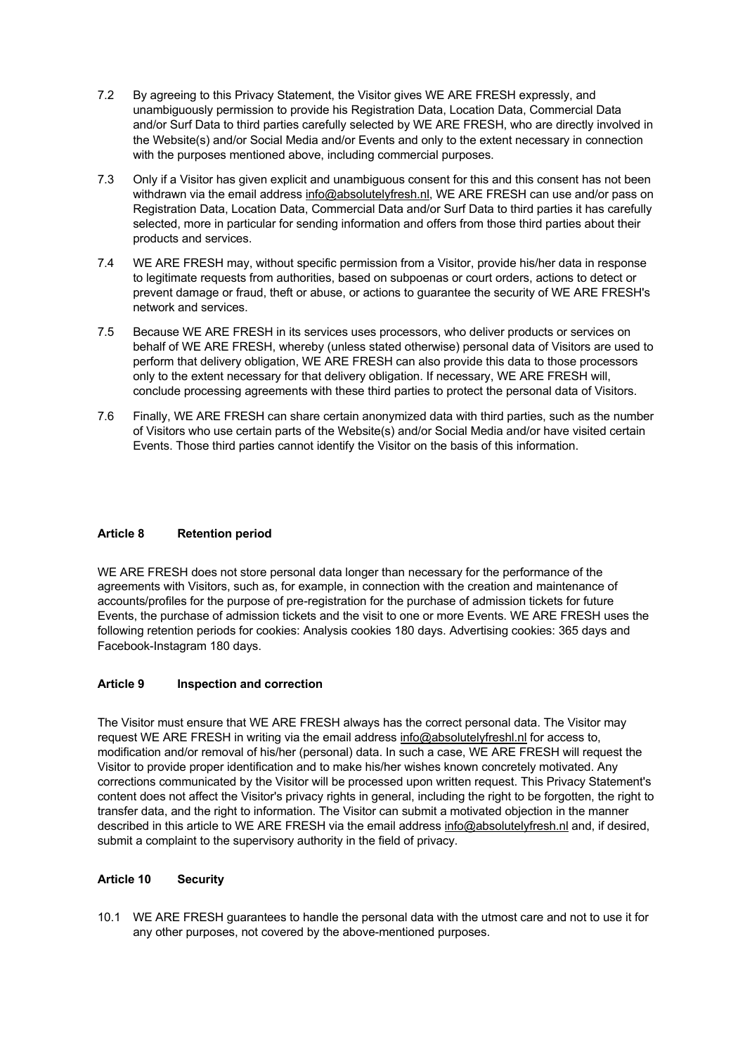- 7.2 By agreeing to this Privacy Statement, the Visitor gives WE ARE FRESH expressly, and unambiguously permission to provide his Registration Data, Location Data, Commercial Data and/or Surf Data to third parties carefully selected by WE ARE FRESH, who are directly involved in the Website(s) and/or Social Media and/or Events and only to the extent necessary in connection with the purposes mentioned above, including commercial purposes.
- 7.3 Only if a Visitor has given explicit and unambiguous consent for this and this consent has not been withdrawn via the email address info@absolutelyfresh.nl, WE ARE FRESH can use and/or pass on Registration Data, Location Data, Commercial Data and/or Surf Data to third parties it has carefully selected, more in particular for sending information and offers from those third parties about their products and services.
- 7.4 WE ARE FRESH may, without specific permission from a Visitor, provide his/her data in response to legitimate requests from authorities, based on subpoenas or court orders, actions to detect or prevent damage or fraud, theft or abuse, or actions to guarantee the security of WE ARE FRESH's network and services.
- 7.5 Because WE ARE FRESH in its services uses processors, who deliver products or services on behalf of WE ARE FRESH, whereby (unless stated otherwise) personal data of Visitors are used to perform that delivery obligation, WE ARE FRESH can also provide this data to those processors only to the extent necessary for that delivery obligation. If necessary, WE ARE FRESH will, conclude processing agreements with these third parties to protect the personal data of Visitors.
- 7.6 Finally, WE ARE FRESH can share certain anonymized data with third parties, such as the number of Visitors who use certain parts of the Website(s) and/or Social Media and/or have visited certain Events. Those third parties cannot identify the Visitor on the basis of this information.

# **Article 8 Retention period**

WE ARE FRESH does not store personal data longer than necessary for the performance of the agreements with Visitors, such as, for example, in connection with the creation and maintenance of accounts/profiles for the purpose of pre-registration for the purchase of admission tickets for future Events, the purchase of admission tickets and the visit to one or more Events. WE ARE FRESH uses the following retention periods for cookies: Analysis cookies 180 days. Advertising cookies: 365 days and Facebook-Instagram 180 days.

# **Article 9 Inspection and correction**

The Visitor must ensure that WE ARE FRESH always has the correct personal data. The Visitor may request WE ARE FRESH in writing via the email address info@absolutelyfreshl.nl for access to, modification and/or removal of his/her (personal) data. In such a case, WE ARE FRESH will request the Visitor to provide proper identification and to make his/her wishes known concretely motivated. Any corrections communicated by the Visitor will be processed upon written request. This Privacy Statement's content does not affect the Visitor's privacy rights in general, including the right to be forgotten, the right to transfer data, and the right to information. The Visitor can submit a motivated objection in the manner described in this article to WE ARE FRESH via the email address info@absolutelyfresh.nl and, if desired, submit a complaint to the supervisory authority in the field of privacy.

# **Article 10 Security**

10.1 WE ARE FRESH guarantees to handle the personal data with the utmost care and not to use it for any other purposes, not covered by the above-mentioned purposes.